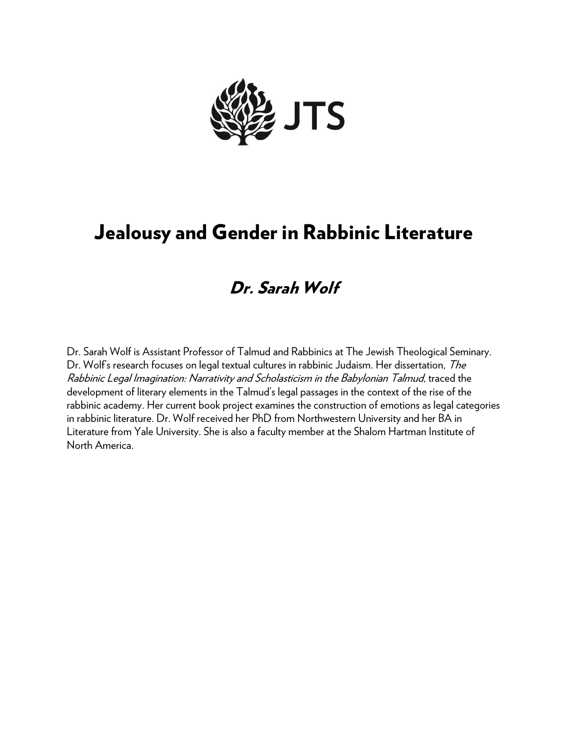

# Jealousy and Gender in Rabbinic Literature

# Dr. Sarah Wolf

Dr. Sarah Wolf is Assistant Professor of Talmud and Rabbinics at The Jewish Theological Seminary. Dr. Wolf's research focuses on legal textual cultures in rabbinic Judaism. Her dissertation, The Rabbinic Legal Imagination: Narrativity and Scholasticism in the Babylonian Talmud, traced the development of literary elements in the Talmud's legal passages in the context of the rise of the rabbinic academy. Her current book project examines the construction of emotions as legal categories in rabbinic literature. Dr. Wolf received her PhD from Northwestern University and her BA in Literature from Yale University. She is also a faculty member at the Shalom Hartman Institute of North America.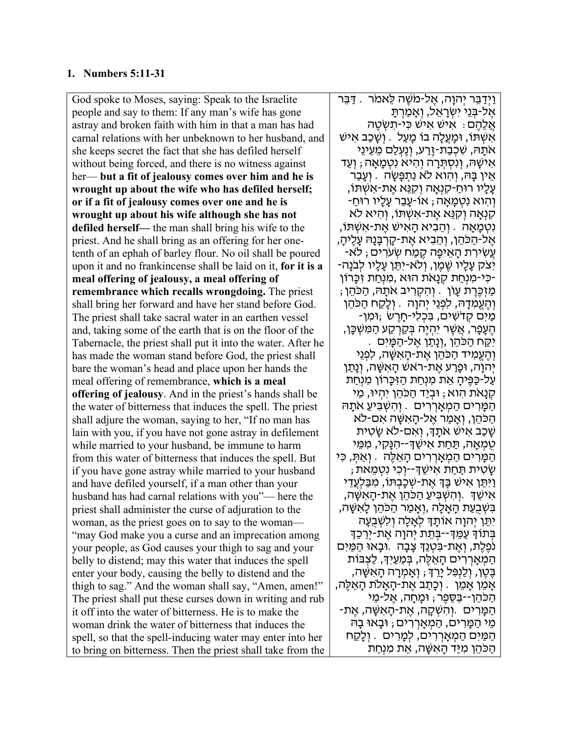#### **1. Numbers 5:11-31**

God spoke to Moses, saying: Speak to the Israelite people and say to them: If any man's wife has gone astray and broken faith with him in that a man has had carnal relations with her unbeknown to her husband, and she keeps secret the fact that she has defiled herself without being forced, and there is no witness against her— **but a fit of jealousy comes over him and he is wrought up about the wife who has defiled herself; or if a fit of jealousy comes over one and he is wrought up about his wife although she has not defiled herself—** the man shall bring his wife to the priest. And he shall bring as an offering for her onetenth of an ephah of barley flour. No oil shall be poured upon it and no frankincense shall be laid on it, **for it is a meal offering of jealousy, a meal offering of remembrance which recalls wrongdoing.** The priest shall bring her forward and have her stand before God. The priest shall take sacral water in an earthen vessel and, taking some of the earth that is on the floor of the Tabernacle, the priest shall put it into the water. After he has made the woman stand before God, the priest shall bare the woman's head and place upon her hands the meal offering of remembrance, **which is a meal offering of jealousy**. And in the priest's hands shall be the water of bitterness that induces the spell. The priest shall adjure the woman, saying to her, "If no man has lain with you, if you have not gone astray in defilement while married to your husband, be immune to harm from this water of bitterness that induces the spell. But if you have gone astray while married to your husband and have defiled yourself, if a man other than your husband has had carnal relations with you"— here the priest shall administer the curse of adjuration to the woman, as the priest goes on to say to the woman— "may God make you a curse and an imprecation among your people, as God causes your thigh to sag and your belly to distend; may this water that induces the spell enter your body, causing the belly to distend and the thigh to sag." And the woman shall say, "Amen, amen!" The priest shall put these curses down in writing and rub it off into the water of bitterness. He is to make the woman drink the water of bitterness that induces the spell, so that the spell-inducing water may enter into her to bring on bitterness. Then the priest shall take from the

וַיְדַ בֵּ ר יְהוָה, אֶ ל- מֹשֶׁ ה לֵּאמֹר . דַּ בֵּ ר אֱל-בְּנֵי יִשְׂרָאֱל, וְאֲמַרְתַּ אֲ לֵהֶ ם: אִ ישׁ אִ ישׁ כִּ י-תִ שְׂ טֶ ה ּ אִשְׁתּוֹ, וּמַעֲלָה בוֹ מָעַל . וְשָׁכַב אִיש ֿאֹתַהּ, שִׁכְבַת-זֶרַע, וְנֵעְלַם מֵעֵינֵי אִ ישָׁ הּ, וְ נִסְ תְּ רָ ה וְ הִ יא נִטְ מָ אָ ה; וְ עֵ ד אֵ ין בָּ הּ, וְ הִ וא ל ֹא נִתְ פָּשָׂ ה . וְ עָ בַ ר עָלָיו רוּחַ-קִנְאַה וְקִנֵּא אֱת-אִשְׁתּוֹ, ֿ -וְהָוא נִטְמַאַה ; אוֹ-עַבַר עַלַיו רוּחַ קִנְאַה וְקִנֵּא אֱת-אִשְׁתּוֹ, וְהִיא לֹא , נְטָמַאַה . וְהֵבִיא הַאִישׁ אֱת-אִשָּׁתּוֹ אֶל-הַכֹּהֶן, וְהֶבִיא אֶת-קַרְבַּנַהּ עַלֶיהַ, ֿ - אֲשִׂירִת הַאֵיפָה קֶמַח שְׂעֹרִים יִצֹק עַלָיו שֶׁמֶן, וְלֹא-יִתֵּן עַלַיו לְבֹנַה-ַ כְּי-מִנְחַת קְנָאֹת הוּא ,מִנְחַת זִכָּרוֹן-<br>מַזְכֵּרֶת עַוֹן . וְהִקְרִיב אֹתַהּ, הַכֹּהֵן ; וְהֶעֱמְדָהּ, לִפְגֵי יִהוָה . וְלָקַח הַכֹּהֵן -מַיִם קְדֹשִׁים, בִּכְלִי-חָרֵשׂ ;וּמִן יהֶעָפָר, אֲשֶׁר יִהְיֶה בְּקַרְקַע הַמִּשְׁכָּן,<br>יִקֵּח הַכֹּהֵן ,וְנַתַן אֵל-הַמֲּיִם ֿוְהֵעֱמִיד הַכֹּהֵן אֱת-הַאִשָּׁה, לִפְנֵי יְהוַה, וּפַרַע אֱת-רֹאשׁ הַאִשָּׁה, וְנַתַן ַ עַל-כַּפֵּיהָ אֵת מִנְחַת הַזִּכָּרוֹן מִנְחַת קְנַאֹת הָוא ; וּבְיַד הַכֹּהֵן יִהְיוּ, מֵי ּ הַמַּרִים הַמְאַרְרִים . וְהָשְׁבִּיעַ אֹתַהּ ְ הַכֹּהֵן, וְאֲמַר אֱל-הַאִשָּׁה אִם-לֹא ְשֵׁכַב אִישׁ אֹתָדְּ, וְאִם-לֹא שַׂטִית ְטְמְאֲה, תַּחַת אִישֵׁדִּ--הִנַּקִי, מִמֵּי הַ מָּ רִ ים הַ מְ אָ רְ רִ ים הָ אֵ לֶּה . וְ אַ תְּ , כִּ י : שַׂטִית תַּחַת אִישֵׁדְּ--וְכִי נִטְמֵאת וַיִּתֵּ ן אִ ישׁ בָּ � אֶ ת-שְׁ כָבְ תּוֹ, מִ בַּ לְעֲדֵ י אִ ישֵׁ � .וְ הִ שְׁ בִּ יעַ הַ כֹּהֵ ן אֶ ת-הָ אִ שָּׁ ה, ,בִּשְׁבְעַת הָאָלָה ,וְאָמַר הַכֹּהֵן לָאִשָּׁה יְתֵּן יְהוַה אוֹתַדְּ לְאֲלָה וְלִשְׁבַעֲה בִּתוֹדְ עַמֵּדְ--בִּתֵת יְהוָה אֵת-יִרֵכֵדְ ֹנֹפֶלֶת, וְאֵת-בִּטְנֵךְ צָבָה .וּבָאוּ הַמַּיִּם הַמְאַרְרִים הַאֱלֶה, בִּמֶעֲיִךָּ, לַצְבּוֹת ֶבֶּטֶן, וְלַנְפָּל יַרֵךְ ; וְאֲמְרַה הַאִשֶּׁה, ּ אָמֵן אָמֵן . וְכָתַב אֵת-הָאָלֹת הָאֵלֶּה, ּהַכֹּהֶן--בַּסֶּפֶר; וּמַחַה, אֱל-מֵי הַ מָּ רִ ים .וְ הִ שְׁ קָ ה, אֶ ת-הָ אִ שָּׁ ה, אֶ ת- מֵ י הַ מָּ רִ ים, הַ מְ אָ רְ רִ ים; וּבָ אוּ בָ הּ הַ מַּ יִם הַ מְ אָ רְ רִ ים, לְמָ רִ ים . וְ לָקַ ח הַכֹּהֵן מִיּד הָאִשָּׁה, אִת מִנְחִת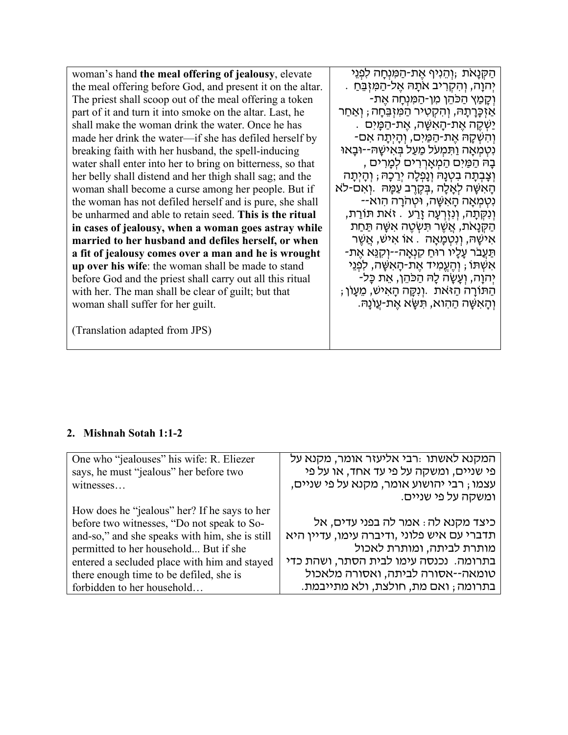woman's hand **the meal offering of jealousy**, elevate the meal offering before God, and present it on the altar. The priest shall scoop out of the meal offering a token part of it and turn it into smoke on the altar. Last, he shall make the woman drink the water. Once he has made her drink the water—if she has defiled herself by breaking faith with her husband, the spell-inducing water shall enter into her to bring on bitterness, so that her belly shall distend and her thigh shall sag; and the woman shall become a curse among her people. But if the woman has not defiled herself and is pure, she shall be unharmed and able to retain seed. **This is the ritual in cases of jealousy, when a woman goes astray while married to her husband and defiles herself, or when a fit of jealousy comes over a man and he is wrought up over his wife**: the woman shall be made to stand before God and the priest shall carry out all this ritual with her. The man shall be clear of guilt; but that woman shall suffer for her guilt.

(Translation adapted from JPS)

ּהַקְּנָאֹת ;וְהֵנִיף אֶת-הַמִּנְחָה לִפְנֵי<br>יִהְוַה, וְהִקְרִיב אֹתַהּ אֵל-הַמִּזְבֵּחַ וְ קָ מַ ץ הַ כֹּהֵ ן מִ ן- הַ מִּ נְחָ ה אֶ ת- אַזְכָּרָתָהּ, וְהִקְטִיר הַמִּזְבֵּחָה ; וְאַחַר<br>יַשְׁקֶה אֶת-הַאִשָּׁה, אֲת-הַמֵּיִם ּ וְהָשְׁקָהּ אֱת-הַמַּיִם, וְהָיִתָה אִם-נִטְמְאַה וַתְּמְעֹל מַעַל בְּאִישַּׁהּ--וּבַאוּ ָבָהּ הַמַּיִם הַמְאֲרְרִים לְמַרִים , וְ צָבְתָה בְטָנָהּ וְנָפְלָה יְרֵכָהּ; וְהָיְתָה ֿהָאִשָּׁה לְאַלָה ,בְּקֶרֶב עַמַּהּ .וְאִם-לֹא נִטְ מְ אָ ה הָ אִ שָּׁ ה, וּטְ הֹרָ ה הִ וא-- וְ נִקְּתָה, וְנִזְרְעַה זַרַע . זאת תּוֹרַת, הַקְּנַאֹת, אֲשֶׁר תִּשְׂטֶה אִשָּׁה תַּחַת אִ ישָׁ הּ, וְ נִטְ מָ אָ ה . אוֹ אִ ישׁ, אֲ שֶׁ ר ּ תַּעֲבֹר עָלָיו רוּחַ קִנְאָה--וְקִנֵּא אֶת-אִ שְׁ תּוֹ; וְ הֶ עֱמִ יד אֶ ת-הָ אִ שָּׁ ה, לִפְ נֵי יְהוַה, וְעֵשָׂה לַהּ הַכֹּהֵן, אֵת כָּל-ּ הַתּוֹרָה הַזּאת .וְנִקָּה הָאִישׁ, מֵעָוֹן ,<br>וְהָאִשָּׁה הַהְוֹא, תִּשָּׂא אֵת-עֲוֹנָהּ.

#### **2. Mishnah Sotah 1:1-2**

| One who "jealouses" his wife: R. Eliezer       | המקנא לאשתו :רבי אליעזר אומר, מקנא על      |
|------------------------------------------------|--------------------------------------------|
| says, he must "jealous" her before two         | פי שניים, ומשקה על פי עד אחד, או על פי     |
| witnesses                                      | עצמו ; רבי יהושוע אומר, מקנא על פי שניים,  |
|                                                | ומשקה על פי שניים.                         |
| How does he "jealous" her? If he says to her   |                                            |
| before two witnesses, "Do not speak to So-     | כיצד מקנא לה : אמר לה בפני עדים, אל        |
| and-so," and she speaks with him, she is still | תדברי עם איש פלוני ,ודיברה עימו, עדיין היא |
| permitted to her household But if she          | מותרת לביתה, ומותרת לאכול                  |
| entered a secluded place with him and stayed   | בתרומה. נכנסה עימו לבית הסתר, ושהת כדי     |
| there enough time to be defiled, she is        | טומאה--אסורה לביתה, ואסורה מלאכול          |
| forbidden to her household                     | בתרומה; ואם מת, חולצת, ולא מתייבמת.        |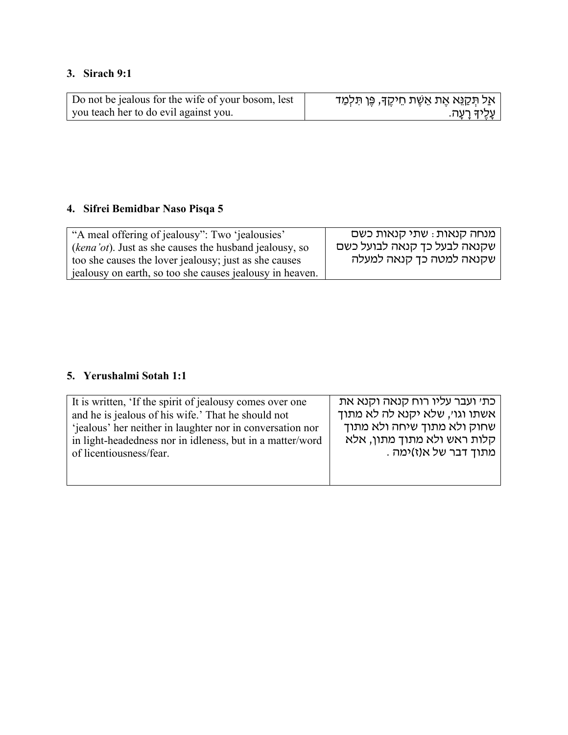### **3. Sirach 9:1**

| Do not be jealous for the wife of your bosom, lest | אַל תְּקַנֵּא אֶת אֵשֶׁת חֵיקֶדּ, פֶּן תִּלְמַד |
|----------------------------------------------------|-------------------------------------------------|
| you teach her to do evil against you.              | ּן עָלֶיךָ רָעָה.                               |

#### **4. Sifrei Bemidbar Naso Pisqa 5**

| "A meal offering of jealousy": Two 'jealousies'                | מנחה קנאות : שתי קנאות כשם   |
|----------------------------------------------------------------|------------------------------|
| <i>(kena'ot)</i> . Just as she causes the husband jealousy, so | שקנאה לבעל כך קנאה לבועל כשם |
| too she causes the lover jealousy; just as she causes          | שקנאה למטה כך קנאה למעלה     |
| jealousy on earth, so too she causes jealousy in heaven.       |                              |

### **5. Yerushalmi Sotah 1:1**

| It is written, 'If the spirit of jealousy comes over one  | כתי ועבר עליו רוח קנאה וקנא את |
|-----------------------------------------------------------|--------------------------------|
| and he is jealous of his wife.' That he should not        | אשתו וגו׳, שלא יקנא לה לא מתוך |
| 'jealous' her neither in laughter nor in conversation nor | שחוק ולא מתוך שיחה ולא מתוך    |
| in light-headedness nor in idleness, but in a matter/word | קלות ראש ולא מתוך מתון, אלא    |
| of licentiousness/fear.                                   | מתוך דבר של א(ז)ימה .          |
|                                                           |                                |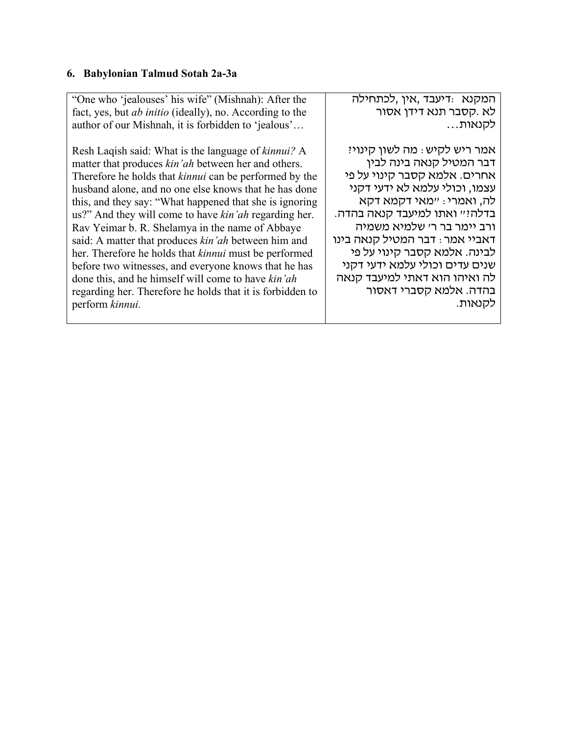## **6. Babylonian Talmud Sotah 2a-3a**

| "One who 'jealouses' his wife" (Mishnah): After the                                                                                                                                                                                                                                                                                                                                                                                                                                                                                                                                        | המקנא :דיעבד,אין ,לכתחילה                                                                                                                                                                                                                                                                                                                                  |
|--------------------------------------------------------------------------------------------------------------------------------------------------------------------------------------------------------------------------------------------------------------------------------------------------------------------------------------------------------------------------------------------------------------------------------------------------------------------------------------------------------------------------------------------------------------------------------------------|------------------------------------------------------------------------------------------------------------------------------------------------------------------------------------------------------------------------------------------------------------------------------------------------------------------------------------------------------------|
| fact, yes, but <i>ab initio</i> (ideally), no. According to the                                                                                                                                                                                                                                                                                                                                                                                                                                                                                                                            | לא .קסבר תנא דידן אסור                                                                                                                                                                                                                                                                                                                                     |
| author of our Mishnah, it is forbidden to 'jealous'                                                                                                                                                                                                                                                                                                                                                                                                                                                                                                                                        | לקנאות                                                                                                                                                                                                                                                                                                                                                     |
| Resh Laqish said: What is the language of kinnui? A<br>matter that produces kin'ah between her and others.<br>Therefore he holds that <i>kinnui</i> can be performed by the<br>husband alone, and no one else knows that he has done<br>this, and they say: "What happened that she is ignoring<br>us?" And they will come to have kin'ah regarding her.<br>Rav Yeimar b. R. Shelamya in the name of Abbaye<br>said: A matter that produces kin'ah between him and<br>her. Therefore he holds that <i>kinnui</i> must be performed<br>before two witnesses, and everyone knows that he has | אמר ריש לקיש : מה לשון קינוי?<br>דבר המטיל קנאה בינה לבין<br>אחרים. אלמא קסבר קינוי על פי<br>עצמו, וכולי עלמא לא ידעי דקני<br>לה, ואמרי: "מאי דקמא דקא<br>בדלה?" ואתו למיעבד קנאה בהדה.<br>ורב יימר בר ר׳ שלמיא משמיה<br>דאביי אמר: דבר המטיל קנאה בינו<br>לבינה. אלמא קסבר קינוי על פי<br>שנים עדים וכולי עלמא ידעי דקני<br>לה ואיהו הוא דאתי למיעבד קנאה |
| done this, and he himself will come to have kin'ah                                                                                                                                                                                                                                                                                                                                                                                                                                                                                                                                         |                                                                                                                                                                                                                                                                                                                                                            |
| regarding her. Therefore he holds that it is forbidden to                                                                                                                                                                                                                                                                                                                                                                                                                                                                                                                                  | בהדה. אלמא קסברי דאסור                                                                                                                                                                                                                                                                                                                                     |
| perform kinnui.                                                                                                                                                                                                                                                                                                                                                                                                                                                                                                                                                                            | לקנאות.                                                                                                                                                                                                                                                                                                                                                    |
|                                                                                                                                                                                                                                                                                                                                                                                                                                                                                                                                                                                            |                                                                                                                                                                                                                                                                                                                                                            |